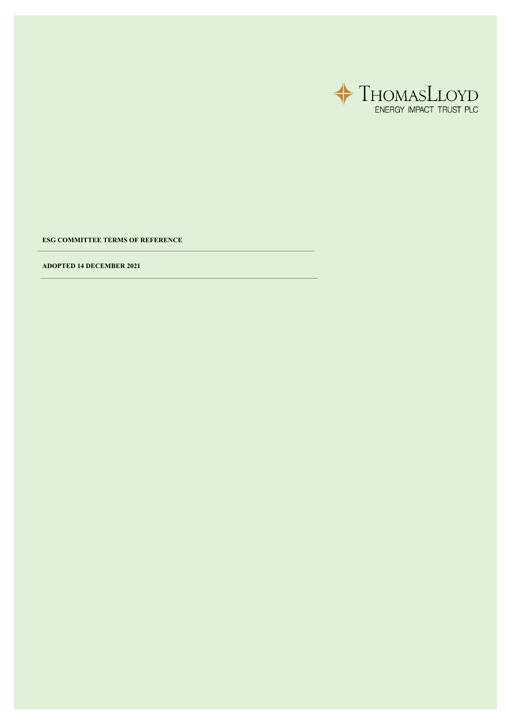

**ESG COMMITTEE TERMS OF REFERENCE**

**ADOPTED 14 DECEMBER 2021**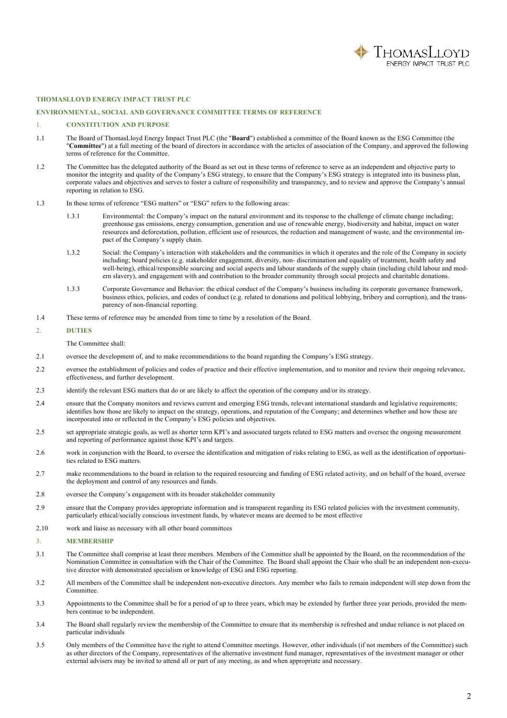

## **THOMASLLOYD ENERGY IMPACT TRUST PLC**

## **ENVIRONMENTAL, SOCIAL AND GOVERNANCE COMMITTEE TERMS OF REFERENCE**

## 1. **CONSTITUTION AND PURPOSE**

- 1.1 The Board of ThomasLloyd Energy Impact Trust PLC (the "**Board**") established a committee of the Board known as the ESG Committee (the "**Committee**") at a full meeting of the board of directors in accordance with the articles of association of the Company, and approved the following terms of reference for the Committee.
- 1.2 The Committee has the delegated authority of the Board as set out in these terms of reference to serve as an independent and objective party to monitor the integrity and quality of the Company's ESG strategy, to ensure that the Company's ESG strategy is integrated into its business plan, corporate values and objectives and serves to foster a culture of responsibility and transparency, and to review and approve the Company's annual reporting in relation to ESG.
- 1.3 In these terms of reference "ESG matters" or "ESG" refers to the following areas:
	- 1.3.1 Environmental: the Company's impact on the natural environment and its response to the challenge of climate change including; greenhouse gas emissions, energy consumption, generation and use of renewable energy, biodiversity and habitat, impact on water resources and deforestation, pollution, efficient use of resources, the reduction and management of waste, and the environmental impact of the Company's supply chain.
	- 1.3.2 Social: the Company's interaction with stakeholders and the communities in which it operates and the role of the Company in society including; board policies (e.g. stakeholder engagement, diversity, non- discrimination and equality of treatment, health safety and well-being), ethical/responsible sourcing and social aspects and labour standards of the supply chain (including child labour and modern slavery), and engagement with and contribution to the broader community through social projects and charitable donations.
	- 1.3.3 Corporate Governance and Behavior: the ethical conduct of the Company's business including its corporate governance framework, business ethics, policies, and codes of conduct (e.g. related to donations and political lobbying, bribery and corruption), and the transparency of non-financial reporting.
- 1.4 These terms of reference may be amended from time to time by a resolution of the Board.

## 2. **DUTIES**

### The Committee shall:

- 2.1 oversee the development of, and to make recommendations to the board regarding the Company's ESG strategy.
- 2.2 oversee the establishment of policies and codes of practice and their effective implementation, and to monitor and review their ongoing relevance, effectiveness, and further development.
- 2.3 identify the relevant ESG matters that do or are likely to affect the operation of the company and/or its strategy.
- 2.4 ensure that the Company monitors and reviews current and emerging ESG trends, relevant international standards and legislative requirements; identifies how those are likely to impact on the strategy, operations, and reputation of the Company; and determines whether and how these are incorporated into or reflected in the Company's ESG policies and objectives.
- 2.5 set appropriate strategic goals, as well as shorter term KPI's and associated targets related to ESG matters and oversee the ongoing measurement and reporting of performance against those KPI's and targets.
- 2.6 work in conjunction with the Board, to oversee the identification and mitigation of risks relating to ESG, as well as the identification of opportunities related to ESG matters.
- 2.7 make recommendations to the board in relation to the required resourcing and funding of ESG related activity, and on behalf of the board, oversee the deployment and control of any resources and funds.
- 2.8 oversee the Company's engagement with its broader stakeholder community
- 2.9 ensure that the Company provides appropriate information and is transparent regarding its ESG related policies with the investment community, particularly ethical/socially conscious investment funds, by whatever means are deemed to be most effective
- 2.10 work and liaise as necessary with all other board committees

## 3. **MEMBERSHIP**

- 3.1 The Committee shall comprise at least three members. Members of the Committee shall be appointed by the Board, on the recommendation of the Nomination Committee in consultation with the Chair of the Committee. The Board shall appoint the Chair who shall be an independent non-executive director with demonstrated specialism or knowledge of ESG and ESG reporting.
- 3.2 All members of the Committee shall be independent non-executive directors. Any member who fails to remain independent will step down from the Committee.
- 3.3 Appointments to the Committee shall be for a period of up to three years, which may be extended by further three year periods, provided the members continue to be independent.
- 3.4 The Board shall regularly review the membership of the Committee to ensure that its membership is refreshed and undue reliance is not placed on particular individuals
- 3.5 Only members of the Committee have the right to attend Committee meetings. However, other individuals (if not members of the Committee) such as other directors of the Company, representatives of the alternative investment fund manager, representatives of the investment manager or other external advisers may be invited to attend all or part of any meeting, as and when appropriate and necessary.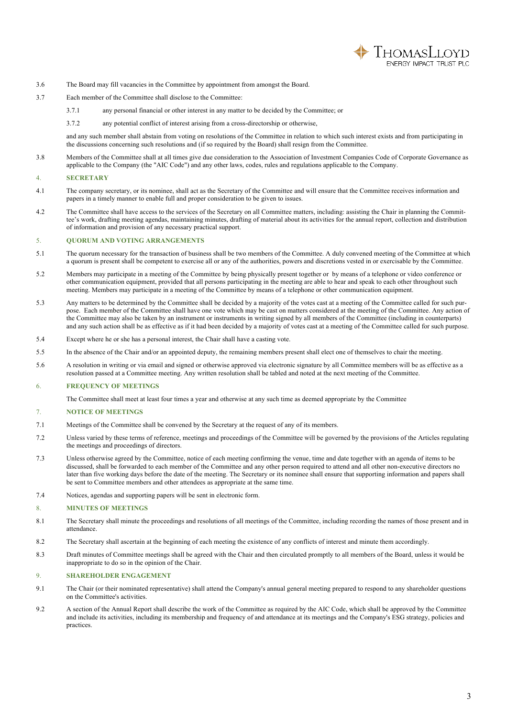

- 3.6 The Board may fill vacancies in the Committee by appointment from amongst the Board.
- 3.7 Each member of the Committee shall disclose to the Committee:
	- 3.7.1 any personal financial or other interest in any matter to be decided by the Committee; or
	- 3.7.2 any potential conflict of interest arising from a cross-directorship or otherwise,

and any such member shall abstain from voting on resolutions of the Committee in relation to which such interest exists and from participating in the discussions concerning such resolutions and (if so required by the Board) shall resign from the Committee.

3.8 Members of the Committee shall at all times give due consideration to the Association of Investment Companies Code of Corporate Governance as applicable to the Company (the "AIC Code") and any other laws, codes, rules and regulations applicable to the Company.

## 4. **SECRETARY**

- 4.1 The company secretary, or its nominee, shall act as the Secretary of the Committee and will ensure that the Committee receives information and papers in a timely manner to enable full and proper consideration to be given to issues.
- 4.2 The Committee shall have access to the services of the Secretary on all Committee matters, including: assisting the Chair in planning the Committee's work, drafting meeting agendas, maintaining minutes, drafting of material about its activities for the annual report, collection and distribution of information and provision of any necessary practical support.

#### 5. **QUORUM AND VOTING ARRANGEMENTS**

- 5.1 The quorum necessary for the transaction of business shall be two members of the Committee. A duly convened meeting of the Committee at which a quorum is present shall be competent to exercise all or any of the authorities, powers and discretions vested in or exercisable by the Committee.
- 5.2 Members may participate in a meeting of the Committee by being physically present together or by means of a telephone or video conference or other communication equipment, provided that all persons participating in the meeting are able to hear and speak to each other throughout such meeting. Members may participate in a meeting of the Committee by means of a telephone or other communication equipment.
- 5.3 Any matters to be determined by the Committee shall be decided by a majority of the votes cast at a meeting of the Committee called for such purpose. Each member of the Committee shall have one vote which may be cast on matters considered at the meeting of the Committee. Any action of the Committee may also be taken by an instrument or instruments in writing signed by all members of the Committee (including in counterparts) and any such action shall be as effective as if it had been decided by a majority of votes cast at a meeting of the Committee called for such purpose.
- 5.4 Except where he or she has a personal interest, the Chair shall have a casting vote.
- 5.5 In the absence of the Chair and/or an appointed deputy, the remaining members present shall elect one of themselves to chair the meeting.
- 5.6 A resolution in writing or via email and signed or otherwise approved via electronic signature by all Committee members will be as effective as a resolution passed at a Committee meeting. Any written resolution shall be tabled and noted at the next meeting of the Committee.

## 6. **FREQUENCY OF MEETINGS**

The Committee shall meet at least four times a year and otherwise at any such time as deemed appropriate by the Committee

#### 7. **NOTICE OF MEETINGS**

- 7.1 Meetings of the Committee shall be convened by the Secretary at the request of any of its members.
- 7.2 Unless varied by these terms of reference, meetings and proceedings of the Committee will be governed by the provisions of the Articles regulating the meetings and proceedings of directors.
- 7.3 Unless otherwise agreed by the Committee, notice of each meeting confirming the venue, time and date together with an agenda of items to be discussed, shall be forwarded to each member of the Committee and any other person required to attend and all other non-executive directors no later than five working days before the date of the meeting. The Secretary or its nominee shall ensure that supporting information and papers shall be sent to Committee members and other attendees as appropriate at the same time.
- 7.4 Notices, agendas and supporting papers will be sent in electronic form.

# 8. **MINUTES OF MEETINGS**

- 8.1 The Secretary shall minute the proceedings and resolutions of all meetings of the Committee, including recording the names of those present and in attendance.
- 8.2 The Secretary shall ascertain at the beginning of each meeting the existence of any conflicts of interest and minute them accordingly.
- 8.3 Draft minutes of Committee meetings shall be agreed with the Chair and then circulated promptly to all members of the Board, unless it would be inappropriate to do so in the opinion of the Chair.

### 9. **SHAREHOLDER ENGAGEMENT**

- 9.1 The Chair (or their nominated representative) shall attend the Company's annual general meeting prepared to respond to any shareholder questions on the Committee's activities.
- 9.2 A section of the Annual Report shall describe the work of the Committee as required by the AIC Code, which shall be approved by the Committee and include its activities, including its membership and frequency of and attendance at its meetings and the Company's ESG strategy, policies and practices.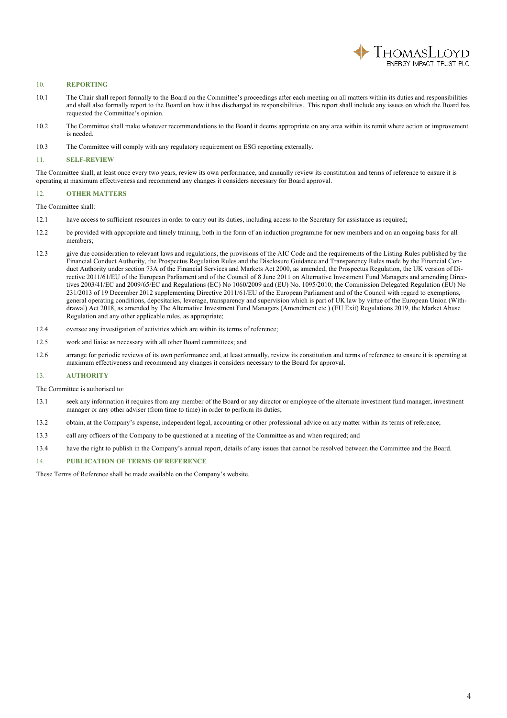

# 10. **REPORTING**

- 10.1 The Chair shall report formally to the Board on the Committee's proceedings after each meeting on all matters within its duties and responsibilities and shall also formally report to the Board on how it has discharged its responsibilities. This report shall include any issues on which the Board has requested the Committee's opinion.
- 10.2 The Committee shall make whatever recommendations to the Board it deems appropriate on any area within its remit where action or improvement is needed.
- 10.3 The Committee will comply with any regulatory requirement on ESG reporting externally.

## 11. **SELF-REVIEW**

The Committee shall, at least once every two years, review its own performance, and annually review its constitution and terms of reference to ensure it is operating at maximum effectiveness and recommend any changes it considers necessary for Board approval.

#### 12. **OTHER MATTERS**

The Committee shall:

- 12.1 have access to sufficient resources in order to carry out its duties, including access to the Secretary for assistance as required;
- 12.2 be provided with appropriate and timely training, both in the form of an induction programme for new members and on an ongoing basis for all members;
- 12.3 give due consideration to relevant laws and regulations, the provisions of the AIC Code and the requirements of the Listing Rules published by the Financial Conduct Authority, the Prospectus Regulation Rules and the Disclosure Guidance and Transparency Rules made by the Financial Conduct Authority under section 73A of the Financial Services and Markets Act 2000, as amended, the Prospectus Regulation, the UK version of Directive 2011/61/EU of the European Parliament and of the Council of 8 June 2011 on Alternative Investment Fund Managers and amending Directives 2003/41/EC and 2009/65/EC and Regulations (EC) No 1060/2009 and (EU) No. 1095/2010; the Commission Delegated Regulation (EU) No 231/2013 of 19 December 2012 supplementing Directive 2011/61/EU of the European Parliament and of the Council with regard to exemptions, general operating conditions, depositaries, leverage, transparency and supervision which is part of UK law by virtue of the European Union (Withdrawal) Act 2018, as amended by The Alternative Investment Fund Managers (Amendment etc.) (EU Exit) Regulations 2019, the Market Abuse Regulation and any other applicable rules, as appropriate;
- 12.4 oversee any investigation of activities which are within its terms of reference;
- 12.5 work and liaise as necessary with all other Board committees; and
- 12.6 arrange for periodic reviews of its own performance and, at least annually, review its constitution and terms of reference to ensure it is operating at maximum effectiveness and recommend any changes it considers necessary to the Board for approval.

#### 13. **AUTHORITY**

The Committee is authorised to:

- 13.1 seek any information it requires from any member of the Board or any director or employee of the alternate investment fund manager, investment manager or any other adviser (from time to time) in order to perform its duties;
- 13.2 obtain, at the Company's expense, independent legal, accounting or other professional advice on any matter within its terms of reference;
- 13.3 call any officers of the Company to be questioned at a meeting of the Committee as and when required; and
- 13.4 have the right to publish in the Company's annual report, details of any issues that cannot be resolved between the Committee and the Board.

## 14. **PUBLICATION OF TERMS OF REFERENCE**

These Terms of Reference shall be made available on the Company's website.